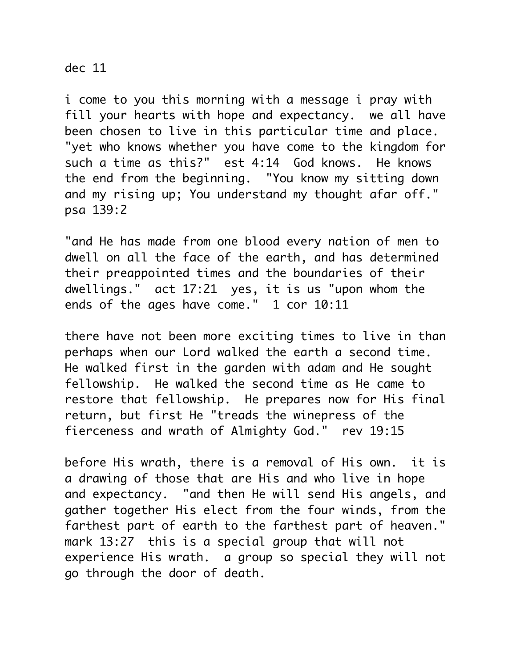## dec 11

i come to you this morning with a message i pray with fill your hearts with hope and expectancy. we all have been chosen to live in this particular time and place. "yet who knows whether you have come to the kingdom for such a time as this?" est 4:14 God knows. He knows the end from the beginning. "You know my sitting down and my rising up; You understand my thought afar off." psa 139:2

"and He has made from one blood every nation of men to dwell on all the face of the earth, and has determined their preappointed times and the boundaries of their dwellings." act 17:21 yes, it is us "upon whom the ends of the ages have come." 1 cor 10:11

there have not been more exciting times to live in than perhaps when our Lord walked the earth a second time. He walked first in the garden with adam and He sought fellowship. He walked the second time as He came to restore that fellowship. He prepares now for His final return, but first He "treads the winepress of the fierceness and wrath of Almighty God." rev 19:15

before His wrath, there is a removal of His own. it is a drawing of those that are His and who live in hope and expectancy. "and then He will send His angels, and gather together His elect from the four winds, from the farthest part of earth to the farthest part of heaven." mark 13:27 this is a special group that will not experience His wrath. a group so special they will not go through the door of death.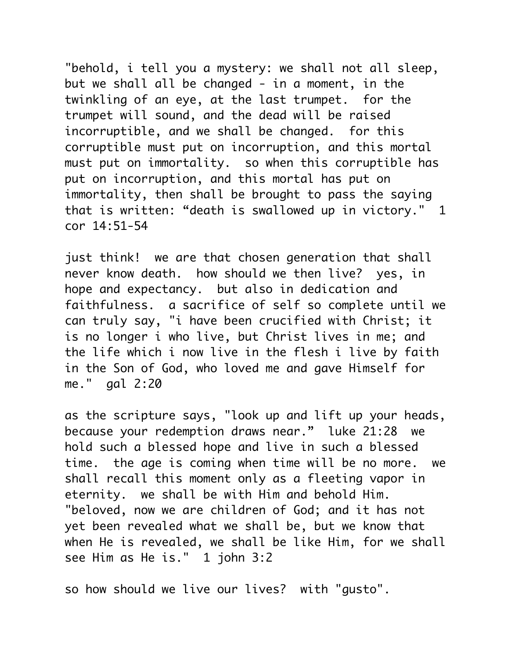"behold, i tell you a mystery: we shall not all sleep, but we shall all be changed - in a moment, in the twinkling of an eye, at the last trumpet. for the trumpet will sound, and the dead will be raised incorruptible, and we shall be changed. for this corruptible must put on incorruption, and this mortal must put on immortality. so when this corruptible has put on incorruption, and this mortal has put on immortality, then shall be brought to pass the saying that is written: "death is swallowed up in victory." 1 cor 14:51-54

just think! we are that chosen generation that shall never know death. how should we then live? yes, in hope and expectancy. but also in dedication and faithfulness. a sacrifice of self so complete until we can truly say, "i have been crucified with Christ; it is no longer i who live, but Christ lives in me; and the life which i now live in the flesh i live by faith in the Son of God, who loved me and gave Himself for me." gal 2:20

as the scripture says, "look up and lift up your heads, because your redemption draws near." luke 21:28 we hold such a blessed hope and live in such a blessed time. the age is coming when time will be no more. we shall recall this moment only as a fleeting vapor in eternity. we shall be with Him and behold Him. "beloved, now we are children of God; and it has not yet been revealed what we shall be, but we know that when He is revealed, we shall be like Him, for we shall see Him as He is." 1 john 3:2

so how should we live our lives? with "gusto".